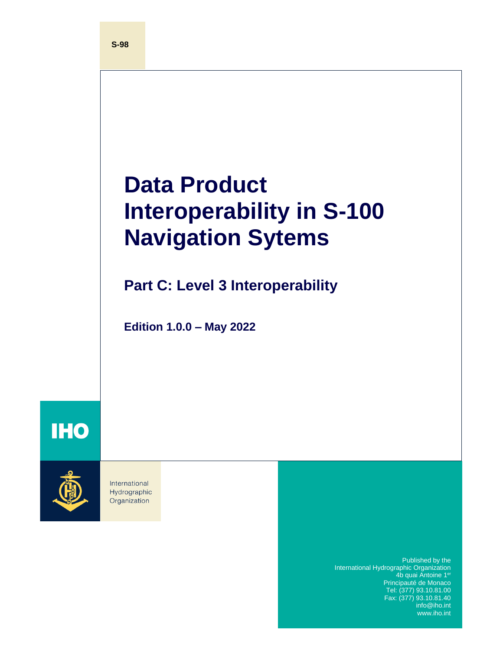

**Part C: Level 3 Interoperability**

**Edition 1.0.0 – May 2022**





International Hydrographic Organization

> Published by the International Hydrographic Organization 4b quai Antoine 1er Principauté de Monaco Tel: (377) 93.10.81.00 Fax: (377) 93.10.81.40 info@iho.int www.iho.int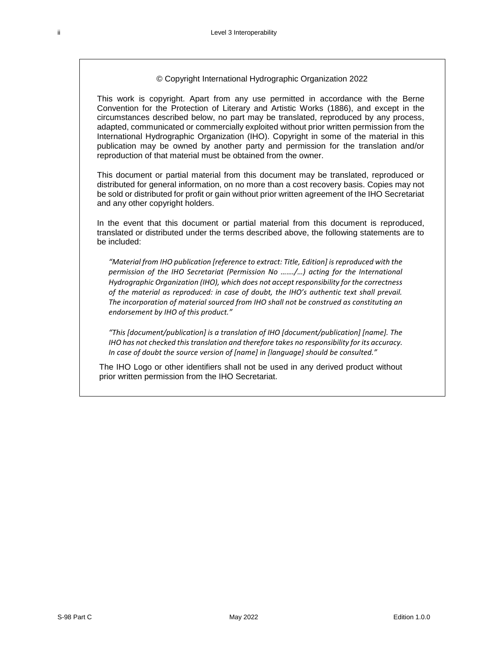#### © Copyright International Hydrographic Organization 2022

This work is copyright. Apart from any use permitted in accordance with the [Berne](http://www.wipo.int/treaties/en/ip/berne/trtdocs_wo001.html)  [Convention for the Protection of Literary and Artistic Works](http://www.wipo.int/treaties/en/ip/berne/trtdocs_wo001.html) (1886), and except in the circumstances described below, no part may be translated, reproduced by any process, adapted, communicated or commercially exploited without prior written permission from the International Hydrographic Organization (IHO). Copyright in some of the material in this publication may be owned by another party and permission for the translation and/or reproduction of that material must be obtained from the owner.

This document or partial material from this document may be translated, reproduced or distributed for general information, on no more than a cost recovery basis. Copies may not be sold or distributed for profit or gain without prior written agreement of the IHO Secretariat and any other copyright holders.

In the event that this document or partial material from this document is reproduced, translated or distributed under the terms described above, the following statements are to be included:

*"Material from IHO publication [reference to extract: Title, Edition] is reproduced with the permission of the IHO Secretariat (Permission No ……./…) acting for the International Hydrographic Organization (IHO), which does not accept responsibility for the correctness of the material as reproduced: in case of doubt, the IHO's authentic text shall prevail. The incorporation of material sourced from IHO shall not be construed as constituting an endorsement by IHO of this product."* 

*"This [document/publication] is a translation of IHO [document/publication] [name]. The IHO has not checked this translation and therefore takes no responsibility for its accuracy. In case of doubt the source version of [name] in [language] should be consulted."*

The IHO Logo or other identifiers shall not be used in any derived product without prior written permission from the IHO Secretariat.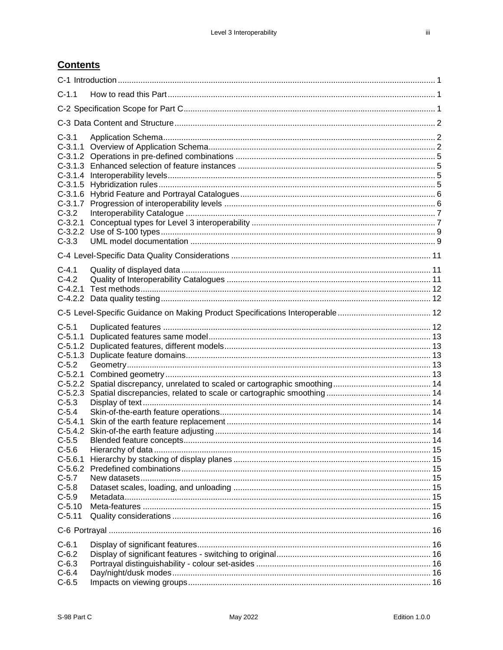# **Contents**

| $C - 1.1$                                                                                                   |  |  |  |  |  |
|-------------------------------------------------------------------------------------------------------------|--|--|--|--|--|
|                                                                                                             |  |  |  |  |  |
|                                                                                                             |  |  |  |  |  |
| $C-3.1$<br>$C-3.1.1$<br>$C-3.1.2$<br>$C-3.1.4$<br>$C-3.1.6$<br>$C-3.1.7$<br>$C-3.2$<br>$C-3.2.1$<br>$C-3.3$ |  |  |  |  |  |
| $C - 4.1$                                                                                                   |  |  |  |  |  |
| $C-4.2$                                                                                                     |  |  |  |  |  |
| $C-4.2.1$                                                                                                   |  |  |  |  |  |
|                                                                                                             |  |  |  |  |  |
|                                                                                                             |  |  |  |  |  |
| $C-5.1$                                                                                                     |  |  |  |  |  |
| $C-5.1.1$<br>$C-5.1.2$                                                                                      |  |  |  |  |  |
| $C-5.1.3$                                                                                                   |  |  |  |  |  |
| $C-5.2$                                                                                                     |  |  |  |  |  |
| $C-5.2.1$                                                                                                   |  |  |  |  |  |
| $C-5.2.2$                                                                                                   |  |  |  |  |  |
| $C-5.2.3$                                                                                                   |  |  |  |  |  |
| $C-5.3$                                                                                                     |  |  |  |  |  |
| $C-5.4$                                                                                                     |  |  |  |  |  |
| $C-5.4.1$<br>$C-5.4.2$                                                                                      |  |  |  |  |  |
| $C-5.5$                                                                                                     |  |  |  |  |  |
| $C-5.6$                                                                                                     |  |  |  |  |  |
| $C-5.6.1$                                                                                                   |  |  |  |  |  |
| $C-5.6.2$                                                                                                   |  |  |  |  |  |
| $C-5.7$                                                                                                     |  |  |  |  |  |
| $C-5.8$                                                                                                     |  |  |  |  |  |
| $C-5.9$<br>$C-5.10$                                                                                         |  |  |  |  |  |
| $C-5.11$                                                                                                    |  |  |  |  |  |
|                                                                                                             |  |  |  |  |  |
|                                                                                                             |  |  |  |  |  |
| $C-6.1$<br>$C-6.2$                                                                                          |  |  |  |  |  |
| $C-6.3$                                                                                                     |  |  |  |  |  |
| $C-6.4$                                                                                                     |  |  |  |  |  |
| $C-6.5$                                                                                                     |  |  |  |  |  |
|                                                                                                             |  |  |  |  |  |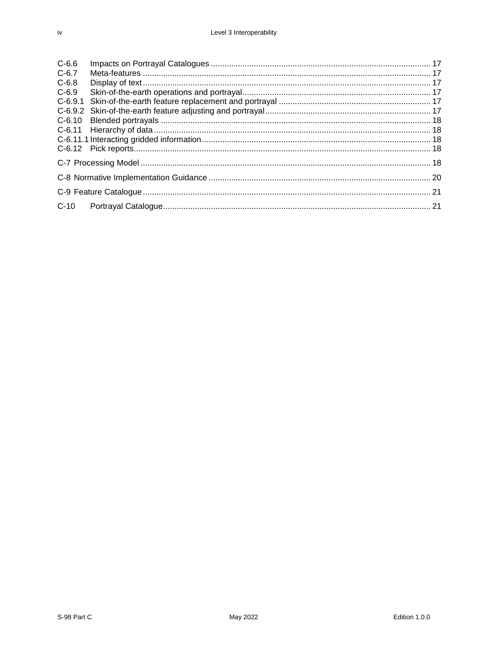| $C-6.7$   |  |  |
|-----------|--|--|
|           |  |  |
| $C-6.8$   |  |  |
| $C-6.9$   |  |  |
| $C-6.9.1$ |  |  |
|           |  |  |
|           |  |  |
|           |  |  |
|           |  |  |
|           |  |  |
|           |  |  |
|           |  |  |
|           |  |  |
| $C-10$    |  |  |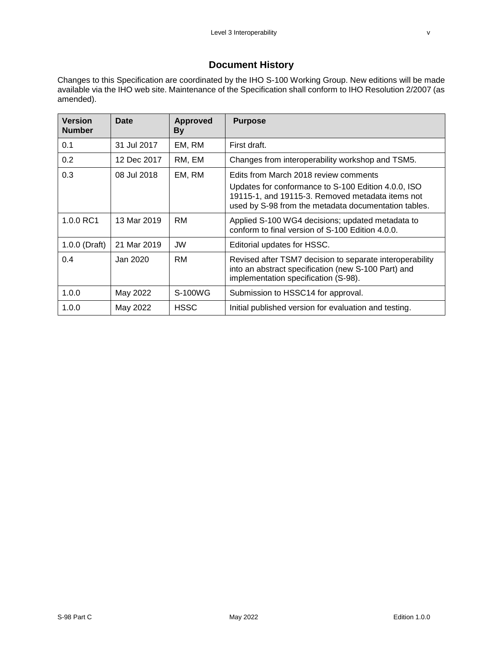# **Document History**

Changes to this Specification are coordinated by the IHO S-100 Working Group. New editions will be made available via the IHO web site. Maintenance of the Specification shall conform to IHO Resolution 2/2007 (as amended).

| <b>Version</b><br><b>Number</b> | Date        | <b>Approved</b><br><b>By</b> | <b>Purpose</b>                                                                                                                                                  |
|---------------------------------|-------------|------------------------------|-----------------------------------------------------------------------------------------------------------------------------------------------------------------|
| 0.1                             | 31 Jul 2017 | EM, RM                       | First draft.                                                                                                                                                    |
| 0.2                             | 12 Dec 2017 | RM, EM                       | Changes from interoperability workshop and TSM5.                                                                                                                |
| 0.3                             | 08 Jul 2018 | EM, RM                       | Edits from March 2018 review comments                                                                                                                           |
|                                 |             |                              | Updates for conformance to S-100 Edition 4.0.0, ISO<br>19115-1, and 19115-3. Removed metadata items not<br>used by S-98 from the metadata documentation tables. |
| 1.0.0 RC1                       | 13 Mar 2019 | RM.                          | Applied S-100 WG4 decisions; updated metadata to<br>conform to final version of S-100 Edition 4.0.0.                                                            |
| $1.0.0$ (Draft)                 | 21 Mar 2019 | JW                           | Editorial updates for HSSC.                                                                                                                                     |
| 0.4                             | Jan 2020    | RM.                          | Revised after TSM7 decision to separate interoperability<br>into an abstract specification (new S-100 Part) and<br>implementation specification (S-98).         |
| 1.0.0                           | May 2022    | S-100WG                      | Submission to HSSC14 for approval.                                                                                                                              |
| 1.0.0                           | May 2022    | <b>HSSC</b>                  | Initial published version for evaluation and testing.                                                                                                           |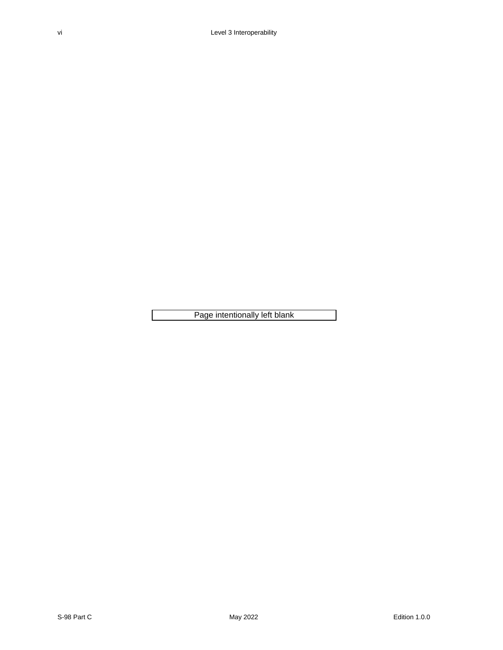Page intentionally left blank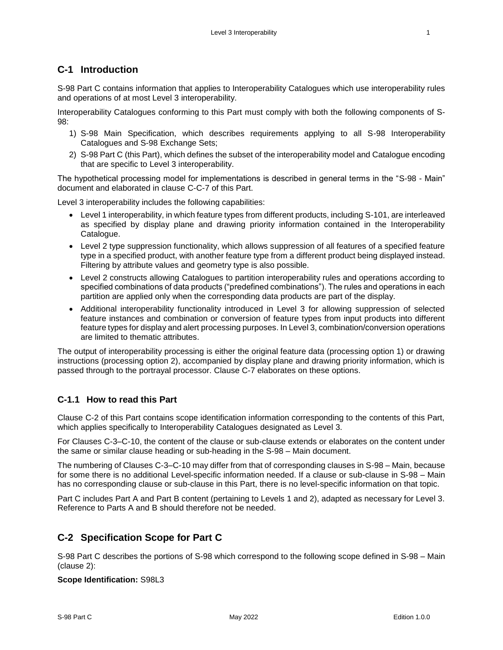# <span id="page-6-0"></span>**C-1 Introduction**

S-98 Part C contains information that applies to Interoperability Catalogues which use interoperability rules and operations of at most Level 3 interoperability.

Interoperability Catalogues conforming to this Part must comply with both the following components of S- $98$ 

- 1) S-98 Main Specification, which describes requirements applying to all S-98 Interoperability Catalogues and S-98 Exchange Sets;
- 2) S-98 Part C (this Part), which defines the subset of the interoperability model and Catalogue encoding that are specific to Level 3 interoperability.

The hypothetical processing model for implementations is described in general terms in the "S-98 - Main" document and elaborated in clause C[-C-7](#page-23-4) of this Part.

Level 3 interoperability includes the following capabilities:

- Level 1 interoperability, in which feature types from different products, including S-101, are interleaved as specified by display plane and drawing priority information contained in the Interoperability Catalogue.
- Level 2 type suppression functionality, which allows suppression of all features of a specified feature type in a specified product, with another feature type from a different product being displayed instead. Filtering by attribute values and geometry type is also possible.
- Level 2 constructs allowing Catalogues to partition interoperability rules and operations according to specified combinations of data products ("predefined combinations"). The rules and operations in each partition are applied only when the corresponding data products are part of the display.
- Additional interoperability functionality introduced in Level 3 for allowing suppression of selected feature instances and combination or conversion of feature types from input products into different feature types for display and alert processing purposes. In Level 3, combination/conversion operations are limited to thematic attributes.

The output of interoperability processing is either the original feature data (processing option 1) or drawing instructions (processing option 2), accompanied by display plane and drawing priority information, which is passed through to the portrayal processor. Clause C-7 elaborates on these options.

# <span id="page-6-1"></span>**C-1.1 How to read this Part**

Clause C-2 of this Part contains scope identification information corresponding to the contents of this Part, which applies specifically to Interoperability Catalogues designated as Level 3.

For Clauses C-3–C-10, the content of the clause or sub-clause extends or elaborates on the content under the same or similar clause heading or sub-heading in the S-98 – Main document.

The numbering of Clauses C-3–C-10 may differ from that of corresponding clauses in S-98 – Main, because for some there is no additional Level-specific information needed. If a clause or sub-clause in S-98 – Main has no corresponding clause or sub-clause in this Part, there is no level-specific information on that topic.

Part C includes Part A and Part B content (pertaining to Levels 1 and 2), adapted as necessary for Level 3. Reference to Parts A and B should therefore not be needed.

# <span id="page-6-2"></span>**C-2 Specification Scope for Part C**

S-98 Part C describes the portions of S-98 which correspond to the following scope defined in S-98 – Main (clause 2):

### **Scope Identification:** S98L3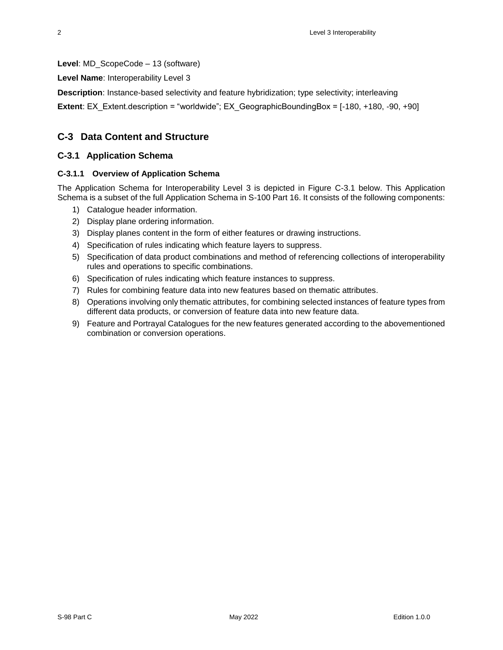**Level**: MD\_ScopeCode – 13 (software)

**Level Name**: Interoperability Level 3

**Description**: Instance-based selectivity and feature hybridization; type selectivity; interleaving

**Extent**: EX\_Extent.description = "worldwide"; EX\_GeographicBoundingBox = [-180, +180, -90, +90]

# <span id="page-7-0"></span>**C-3 Data Content and Structure**

### <span id="page-7-1"></span>**C-3.1 Application Schema**

### <span id="page-7-2"></span>**C-3.1.1 Overview of Application Schema**

The Application Schema for Interoperability Level 3 is depicted in Figure C-3.1 below. This Application Schema is a subset of the full Application Schema in S-100 Part 16. It consists of the following components:

- 1) Catalogue header information.
- 2) Display plane ordering information.
- 3) Display planes content in the form of either features or drawing instructions.
- 4) Specification of rules indicating which feature layers to suppress.
- 5) Specification of data product combinations and method of referencing collections of interoperability rules and operations to specific combinations.
- 6) Specification of rules indicating which feature instances to suppress.
- 7) Rules for combining feature data into new features based on thematic attributes.
- 8) Operations involving only thematic attributes, for combining selected instances of feature types from different data products, or conversion of feature data into new feature data.
- 9) Feature and Portrayal Catalogues for the new features generated according to the abovementioned combination or conversion operations.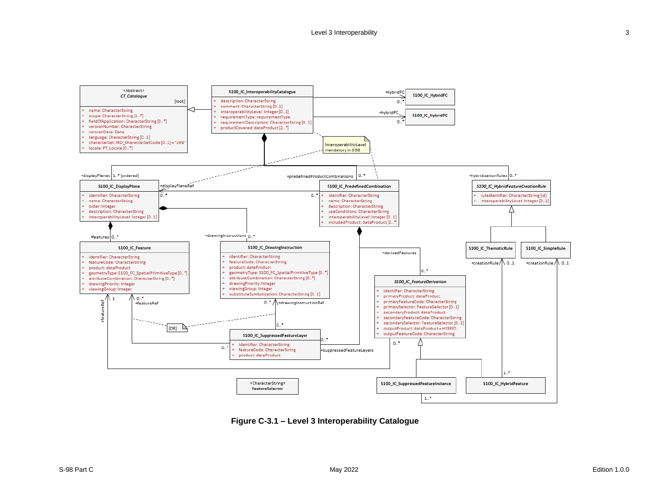

**Figure C-3.1 – Level 3 Interoperability Catalogue**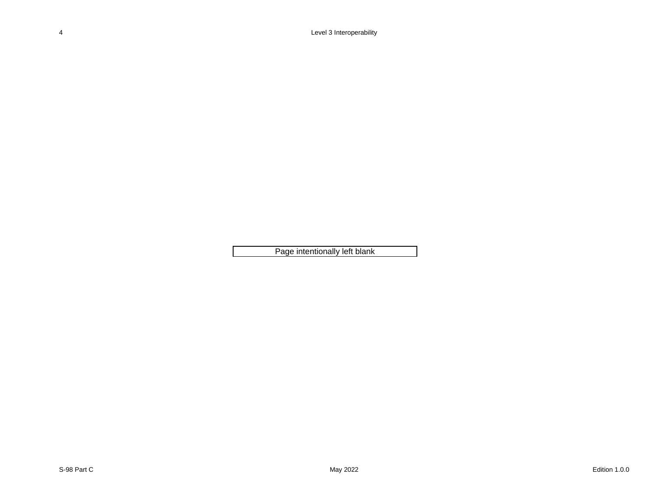4 Level 3 Interoperability

Page intentionally left blank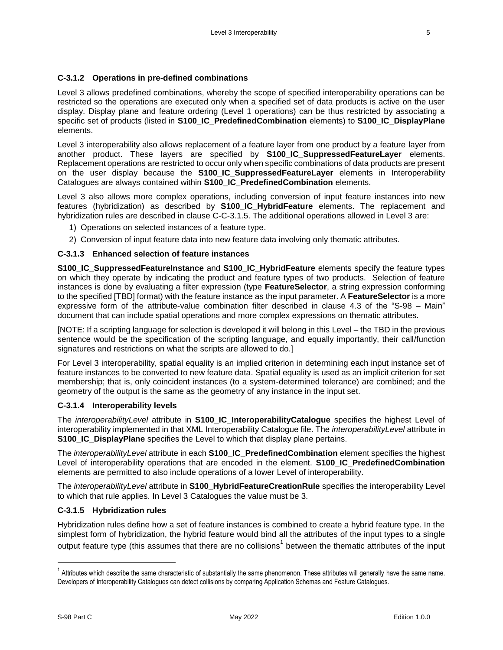## <span id="page-10-0"></span>**C-3.1.2 Operations in pre-defined combinations**

Level 3 allows predefined combinations, whereby the scope of specified interoperability operations can be restricted so the operations are executed only when a specified set of data products is active on the user display. Display plane and feature ordering (Level 1 operations) can be thus restricted by associating a specific set of products (listed in **S100\_IC\_PredefinedCombination** elements) to **S100\_IC\_DisplayPlane** elements.

Level 3 interoperability also allows replacement of a feature layer from one product by a feature layer from another product. These layers are specified by **S100\_IC\_SuppressedFeatureLayer** elements. Replacement operations are restricted to occur only when specific combinations of data products are present on the user display because the **S100\_IC\_SuppressedFeatureLayer** elements in Interoperability Catalogues are always contained within **S100\_IC\_PredefinedCombination** elements.

Level 3 also allows more complex operations, including conversion of input feature instances into new features (hybridization) as described by **S100\_IC\_HybridFeature** elements. The replacement and hybridization rules are described in clause C[-C-3.1.5.](#page-10-3) The additional operations allowed in Level 3 are:

- 1) Operations on selected instances of a feature type.
- 2) Conversion of input feature data into new feature data involving only thematic attributes.

### <span id="page-10-1"></span>**C-3.1.3 Enhanced selection of feature instances**

**S100 IC SuppressedFeatureInstance** and **S100 IC HybridFeature** elements specify the feature types on which they operate by indicating the product and feature types of two products. Selection of feature instances is done by evaluating a filter expression (type **FeatureSelector**, a string expression conforming to the specified [TBD] format) with the feature instance as the input parameter. A **FeatureSelector** is a more expressive form of the attribute-value combination filter described in clause 4.3 of the "S-98 – Main" document that can include spatial operations and more complex expressions on thematic attributes.

[NOTE: If a scripting language for selection is developed it will belong in this Level – the TBD in the previous sentence would be the specification of the scripting language, and equally importantly, their call/function signatures and restrictions on what the scripts are allowed to do.]

For Level 3 interoperability, spatial equality is an implied criterion in determining each input instance set of feature instances to be converted to new feature data. Spatial equality is used as an implicit criterion for set membership; that is, only coincident instances (to a system-determined tolerance) are combined; and the geometry of the output is the same as the geometry of any instance in the input set.

### <span id="page-10-2"></span>**C-3.1.4 Interoperability levels**

The *interoperabilityLevel* attribute in **S100\_IC\_InteroperabilityCatalogue** specifies the highest Level of interoperability implemented in that XML Interoperability Catalogue file. The *interoperabilityLevel* attribute in **S100 IC DisplayPlane** specifies the Level to which that display plane pertains.

The *interoperabilityLevel* attribute in each **S100\_IC\_PredefinedCombination** element specifies the highest Level of interoperability operations that are encoded in the element. **S100\_IC\_PredefinedCombination** elements are permitted to also include operations of a lower Level of interoperability.

The *interoperabilityLevel* attribute in **S100\_HybridFeatureCreationRule** specifies the interoperability Level to which that rule applies. In Level 3 Catalogues the value must be 3.

### <span id="page-10-3"></span>**C-3.1.5 Hybridization rules**

Hybridization rules define how a set of feature instances is combined to create a hybrid feature type. In the simplest form of hybridization, the hybrid feature would bind all the attributes of the input types to a single output feature type (this assumes that there are no collisions<sup>1</sup> between the thematic attributes of the input

 $\overline{a}$ 

 $1$  Attributes which describe the same characteristic of substantially the same phenomenon. These attributes will generally have the same name. Developers of Interoperability Catalogues can detect collisions by comparing Application Schemas and Feature Catalogues.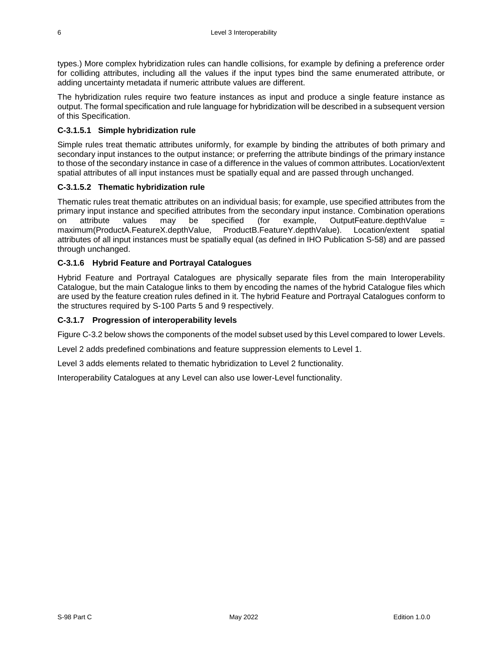types.) More complex hybridization rules can handle collisions, for example by defining a preference order for colliding attributes, including all the values if the input types bind the same enumerated attribute, or adding uncertainty metadata if numeric attribute values are different.

The hybridization rules require two feature instances as input and produce a single feature instance as output. The formal specification and rule language for hybridization will be described in a subsequent version of this Specification.

### **C-3.1.5.1 Simple hybridization rule**

Simple rules treat thematic attributes uniformly, for example by binding the attributes of both primary and secondary input instances to the output instance; or preferring the attribute bindings of the primary instance to those of the secondary instance in case of a difference in the values of common attributes. Location/extent spatial attributes of all input instances must be spatially equal and are passed through unchanged.

### **C-3.1.5.2 Thematic hybridization rule**

Thematic rules treat thematic attributes on an individual basis; for example, use specified attributes from the primary input instance and specified attributes from the secondary input instance. Combination operations on attribute values may be specified (for example, OutputFeature.depthValue =<br>maximum(ProductA.FeatureX.depthValue, ProductB.FeatureY.depthValue). Location/extent spatial maximum(ProductA.FeatureX.depthValue, ProductB.FeatureY.depthValue). attributes of all input instances must be spatially equal (as defined in IHO Publication S-58) and are passed through unchanged.

### <span id="page-11-0"></span>**C-3.1.6 Hybrid Feature and Portrayal Catalogues**

Hybrid Feature and Portrayal Catalogues are physically separate files from the main Interoperability Catalogue, but the main Catalogue links to them by encoding the names of the hybrid Catalogue files which are used by the feature creation rules defined in it. The hybrid Feature and Portrayal Catalogues conform to the structures required by S-100 Parts 5 and 9 respectively.

### <span id="page-11-1"></span>**C-3.1.7 Progression of interoperability levels**

Figure C-3.2 below shows the components of the model subset used by this Level compared to lower Levels.

Level 2 adds predefined combinations and feature suppression elements to Level 1.

Level 3 adds elements related to thematic hybridization to Level 2 functionality.

Interoperability Catalogues at any Level can also use lower-Level functionality.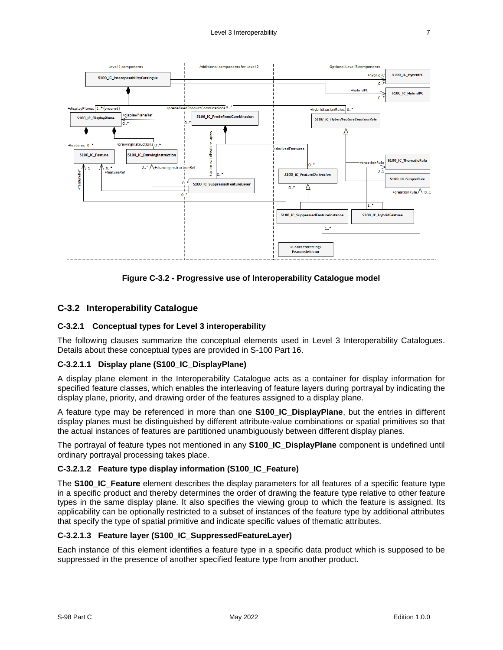

**Figure C-3.2 - Progressive use of Interoperability Catalogue model**

# <span id="page-12-0"></span>**C-3.2 Interoperability Catalogue**

### <span id="page-12-1"></span>**C-3.2.1 Conceptual types for Level 3 interoperability**

The following clauses summarize the conceptual elements used in Level 3 Interoperability Catalogues. Details about these conceptual types are provided in S-100 Part 16.

### **C-3.2.1.1 Display plane (S100\_IC\_DisplayPlane)**

A display plane element in the Interoperability Catalogue acts as a container for display information for specified feature classes, which enables the interleaving of feature layers during portrayal by indicating the display plane, priority, and drawing order of the features assigned to a display plane.

A feature type may be referenced in more than one **S100\_IC\_DisplayPlane**, but the entries in different display planes must be distinguished by different attribute-value combinations or spatial primitives so that the actual instances of features are partitioned unambiguously between different display planes.

The portrayal of feature types not mentioned in any **S100\_IC\_DisplayPlane** component is undefined until ordinary portrayal processing takes place.

### **C-3.2.1.2 Feature type display information (S100\_IC\_Feature)**

The **S100\_IC\_Feature** element describes the display parameters for all features of a specific feature type in a specific product and thereby determines the order of drawing the feature type relative to other feature types in the same display plane. It also specifies the viewing group to which the feature is assigned. Its applicability can be optionally restricted to a subset of instances of the feature type by additional attributes that specify the type of spatial primitive and indicate specific values of thematic attributes.

## **C-3.2.1.3 Feature layer (S100\_IC\_SuppressedFeatureLayer)**

Each instance of this element identifies a feature type in a specific data product which is supposed to be suppressed in the presence of another specified feature type from another product.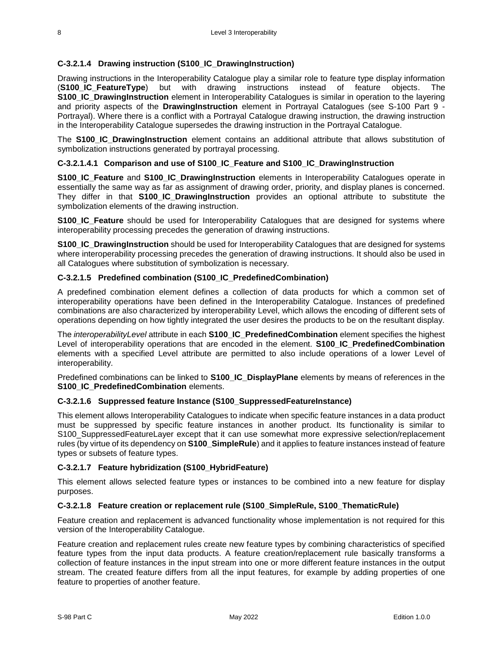## **C-3.2.1.4 Drawing instruction (S100\_IC\_DrawingInstruction)**

Drawing instructions in the Interoperability Catalogue play a similar role to feature type display information **(S100 IC FeatureType)** but with drawing instructions instead of feature objects. The **S100 IC DrawingInstruction** element in Interoperability Catalogues is similar in operation to the layering and priority aspects of the **DrawingInstruction** element in Portrayal Catalogues (see S-100 Part 9 - Portrayal). Where there is a conflict with a Portrayal Catalogue drawing instruction, the drawing instruction in the Interoperability Catalogue supersedes the drawing instruction in the Portrayal Catalogue.

The **S100\_IC\_DrawingInstruction** element contains an additional attribute that allows substitution of symbolization instructions generated by portrayal processing.

### **C-3.2.1.4.1 Comparison and use of S100\_IC\_Feature and S100\_IC\_DrawingInstruction**

**S100 IC Feature** and **S100 IC DrawingInstruction** elements in Interoperability Catalogues operate in essentially the same way as far as assignment of drawing order, priority, and display planes is concerned. They differ in that **S100\_IC\_DrawingInstruction** provides an optional attribute to substitute the symbolization elements of the drawing instruction.

**S100 IC Feature** should be used for Interoperability Catalogues that are designed for systems where interoperability processing precedes the generation of drawing instructions.

**S100\_IC\_DrawingInstruction** should be used for Interoperability Catalogues that are designed for systems where interoperability processing precedes the generation of drawing instructions. It should also be used in all Catalogues where substitution of symbolization is necessary.

### **C-3.2.1.5 Predefined combination (S100\_IC\_PredefinedCombination)**

A predefined combination element defines a collection of data products for which a common set of interoperability operations have been defined in the Interoperability Catalogue. Instances of predefined combinations are also characterized by interoperability Level, which allows the encoding of different sets of operations depending on how tightly integrated the user desires the products to be on the resultant display.

The *interoperabilityLevel* attribute in each **S100\_IC\_PredefinedCombination** element specifies the highest Level of interoperability operations that are encoded in the element. **S100 IC PredefinedCombination** elements with a specified Level attribute are permitted to also include operations of a lower Level of interoperability.

Predefined combinations can be linked to **S100\_IC\_DisplayPlane** elements by means of references in the **S100 IC PredefinedCombination** elements.

### **C-3.2.1.6 Suppressed feature Instance (S100\_SuppressedFeatureInstance)**

This element allows Interoperability Catalogues to indicate when specific feature instances in a data product must be suppressed by specific feature instances in another product. Its functionality is similar to S100 SuppressedFeatureLayer except that it can use somewhat more expressive selection/replacement rules (by virtue of its dependency on **S100\_SimpleRule**) and it applies to feature instances instead of feature types or subsets of feature types.

### **C-3.2.1.7 Feature hybridization (S100\_HybridFeature)**

This element allows selected feature types or instances to be combined into a new feature for display purposes.

## **C-3.2.1.8 Feature creation or replacement rule (S100\_SimpleRule, S100\_ThematicRule)**

Feature creation and replacement is advanced functionality whose implementation is not required for this version of the Interoperability Catalogue.

Feature creation and replacement rules create new feature types by combining characteristics of specified feature types from the input data products. A feature creation/replacement rule basically transforms a collection of feature instances in the input stream into one or more different feature instances in the output stream. The created feature differs from all the input features, for example by adding properties of one feature to properties of another feature.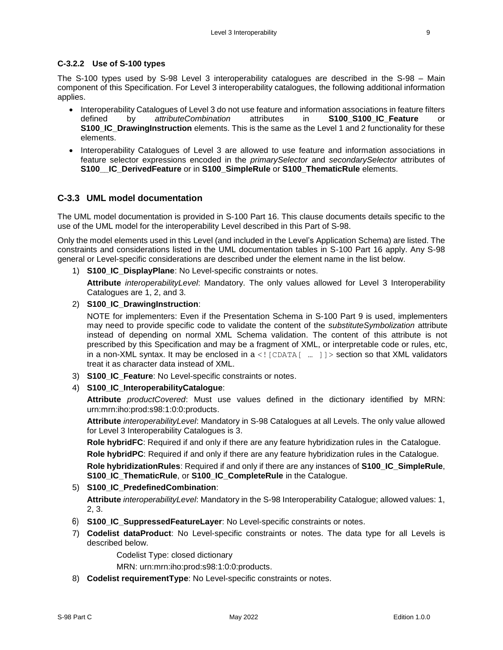### <span id="page-14-0"></span>**C-3.2.2 Use of S-100 types**

The S-100 types used by S-98 Level 3 interoperability catalogues are described in the S-98 – Main component of this Specification. For Level 3 interoperability catalogues, the following additional information applies.

- Interoperability Catalogues of Level 3 do not use feature and information associations in feature filters defined by *attributeCombination* attributes in **S100\_S100\_IC\_Feature** or **S100 IC DrawingInstruction** elements. This is the same as the Level 1 and 2 functionality for these elements.
- Interoperability Catalogues of Level 3 are allowed to use feature and information associations in feature selector expressions encoded in the *primarySelector* and *secondarySelector* attributes of **S100\_\_IC\_DerivedFeature** or in **S100\_SimpleRule** or **S100\_ThematicRule** elements.

### <span id="page-14-1"></span>**C-3.3 UML model documentation**

The UML model documentation is provided in S-100 Part 16. This clause documents details specific to the use of the UML model for the interoperability Level described in this Part of S-98.

Only the model elements used in this Level (and included in the Level's Application Schema) are listed. The constraints and considerations listed in the UML documentation tables in S-100 Part 16 apply. Any S-98 general or Level-specific considerations are described under the element name in the list below.

1) **S100\_IC\_DisplayPlane**: No Level-specific constraints or notes.

**Attribute** *interoperabilityLevel*: Mandatory. The only values allowed for Level 3 Interoperability Catalogues are 1, 2, and 3.

2) **S100\_IC\_DrawingInstruction**:

NOTE for implementers: Even if the Presentation Schema in S-100 Part 9 is used, implementers may need to provide specific code to validate the content of the *substituteSymbolization* attribute instead of depending on normal XML Schema validation. The content of this attribute is not prescribed by this Specification and may be a fragment of XML, or interpretable code or rules, etc, in a non-XML syntax. It may be enclosed in  $a \leq f$  (CDATA $f \equiv 1$ ) section so that XML validators treat it as character data instead of XML.

- 3) **S100 IC Feature**: No Level-specific constraints or notes.
- 4) **S100\_IC\_InteroperabilityCatalogue**:

**Attribute** *productCovered*: Must use values defined in the dictionary identified by MRN: urn:mrn:iho:prod:s98:1:0:0:products.

**Attribute** *interoperabilityLevel*: Mandatory in S-98 Catalogues at all Levels. The only value allowed for Level 3 Interoperability Catalogues is 3.

**Role hybridFC**: Required if and only if there are any feature hybridization rules in the Catalogue.

**Role hybridPC**: Required if and only if there are any feature hybridization rules in the Catalogue.

**Role hybridizationRules**: Required if and only if there are any instances of **S100\_IC\_SimpleRule**, **S100 IC ThematicRule, or S100 IC CompleteRule** in the Catalogue.

### 5) **S100\_IC\_PredefinedCombination**:

**Attribute** *interoperabilityLevel*: Mandatory in the S-98 Interoperability Catalogue; allowed values: 1, 2, 3.

- 6) **S100\_IC\_SuppressedFeatureLayer**: No Level-specific constraints or notes.
- 7) **Codelist dataProduct**: No Level-specific constraints or notes. The data type for all Levels is described below.

Codelist Type: closed dictionary

MRN: urn:mrn:iho:prod:s98:1:0:0:products.

8) **Codelist requirementType**: No Level-specific constraints or notes.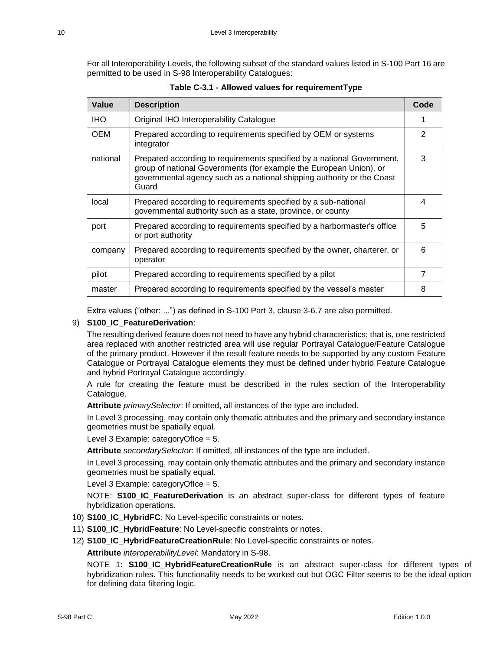For all Interoperability Levels, the following subset of the standard values listed in S-100 Part 16 are permitted to be used in S-98 Interoperability Catalogues:

| <b>Value</b> | <b>Description</b>                                                                                                                                                                                                              | Code           |
|--------------|---------------------------------------------------------------------------------------------------------------------------------------------------------------------------------------------------------------------------------|----------------|
| <b>IHO</b>   | Original IHO Interoperability Catalogue                                                                                                                                                                                         |                |
| <b>OEM</b>   | Prepared according to requirements specified by OEM or systems<br>integrator                                                                                                                                                    | 2              |
| national     | Prepared according to requirements specified by a national Government,<br>group of national Governments (for example the European Union), or<br>governmental agency such as a national shipping authority or the Coast<br>Guard | 3              |
| local        | Prepared according to requirements specified by a sub-national<br>governmental authority such as a state, province, or county                                                                                                   | 4              |
| port         | Prepared according to requirements specified by a harbormaster's office<br>or port authority                                                                                                                                    | 5              |
| company      | Prepared according to requirements specified by the owner, charterer, or<br>operator                                                                                                                                            | 6              |
| pilot        | Prepared according to requirements specified by a pilot                                                                                                                                                                         | $\overline{7}$ |
| master       | Prepared according to requirements specified by the vessel's master                                                                                                                                                             | 8              |

**Table C-3.1 - Allowed values for requirementType**

Extra values ("other: ...") as defined in S-100 Part 3, clause 3-6.7 are also permitted.

### 9) **S100\_IC\_FeatureDerivation**:

The resulting derived feature does not need to have any hybrid characteristics; that is, one restricted area replaced with another restricted area will use regular Portrayal Catalogue/Feature Catalogue of the primary product. However if the result feature needs to be supported by any custom Feature Catalogue or Portrayal Catalogue elements they must be defined under hybrid Feature Catalogue and hybrid Portrayal Catalogue accordingly.

A rule for creating the feature must be described in the rules section of the Interoperability Catalogue.

**Attribute** *primarySelector*: If omitted, all instances of the type are included.

In Level 3 processing, may contain only thematic attributes and the primary and secondary instance geometries must be spatially equal.

Level 3 Example: category Ofice  $= 5$ .

**Attribute** *secondarySelector*: If omitted, all instances of the type are included.

In Level 3 processing, may contain only thematic attributes and the primary and secondary instance geometries must be spatially equal.

Level 3 Example: category Ofice  $= 5$ .

NOTE: **S100 IC FeatureDerivation** is an abstract super-class for different types of feature hybridization operations.

- 10) **S100 IC HybridFC**: No Level-specific constraints or notes.
- 11) **S100 IC HybridFeature**: No Level-specific constraints or notes.
- 12) **S100\_IC\_HybridFeatureCreationRule**: No Level-specific constraints or notes.

**Attribute** *interoperabilityLevel*: Mandatory in S-98.

NOTE 1: S100 IC HybridFeatureCreationRule is an abstract super-class for different types of hybridization rules. This functionality needs to be worked out but OGC Filter seems to be the ideal option for defining data filtering logic.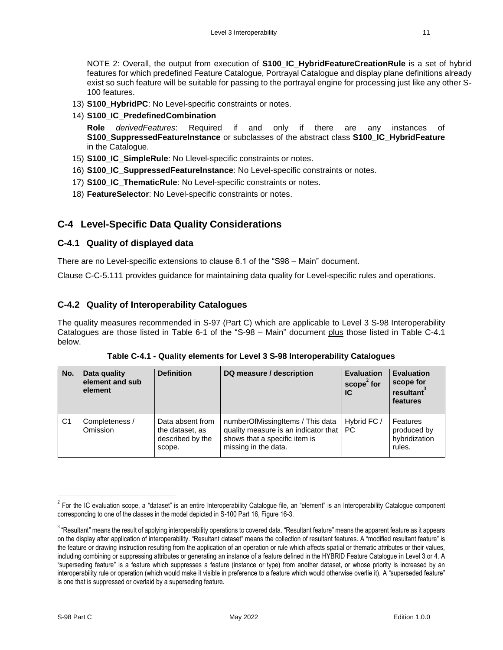NOTE 2: Overall, the output from execution of **S100\_IC\_HybridFeatureCreationRule** is a set of hybrid features for which predefined Feature Catalogue, Portrayal Catalogue and display plane definitions already exist so such feature will be suitable for passing to the portrayal engine for processing just like any other S-100 features.

- 13) **S100\_HybridPC**: No Level-specific constraints or notes.
- 14) **S100\_IC\_PredefinedCombination**

**Role** *derivedFeatures*: Required if and only if there are any instances of **S100\_SuppressedFeatureInstance** or subclasses of the abstract class **S100\_IC\_HybridFeature** in the Catalogue.

- 15) **S100 IC SimpleRule**: No Llevel-specific constraints or notes.
- 16) **S100\_IC\_SuppressedFeatureInstance**: No Level-specific constraints or notes.
- 17) **S100 IC ThematicRule**: No Level-specific constraints or notes.
- 18) **FeatureSelector**: No Level-specific constraints or notes.

# <span id="page-16-0"></span>**C-4 Level-Specific Data Quality Considerations**

## <span id="page-16-1"></span>**C-4.1 Quality of displayed data**

There are no Level-specific extensions to clause 6.1 of the "S98 – Main" document.

Clause C-C-5.111 provides guidance for maintaining data quality for Level-specific rules and operations.

# <span id="page-16-2"></span>**C-4.2 Quality of Interoperability Catalogues**

The quality measures recommended in S-97 (Part C) which are applicable to Level 3 S-98 Interoperability Catalogues are those listed in Table 6-1 of the "S-98 – Main" document plus those listed in Table C-4.1 below.

| No.            | Data quality<br>element and sub<br>element | <b>Definition</b>                                                 | DQ measure / description                                                                                                               | <b>Evaluation</b><br>scope $3$ for<br>IC | <b>Evaluation</b><br>scope for<br>resultant <sup>3</sup><br>features |
|----------------|--------------------------------------------|-------------------------------------------------------------------|----------------------------------------------------------------------------------------------------------------------------------------|------------------------------------------|----------------------------------------------------------------------|
| C <sub>1</sub> | Completeness /<br>Omission                 | Data absent from<br>the dataset, as<br>described by the<br>scope. | numberOfMissingItems / This data<br>quality measure is an indicator that   PC<br>shows that a specific item is<br>missing in the data. | Hybrid FC /                              | Features<br>produced by<br>hybridization<br>rules.                   |

**Table C-4.1 - Quality elements for Level 3 S-98 Interoperability Catalogues**

l

<sup>2</sup> For the IC evaluation scope, a "dataset" is an entire Interoperability Catalogue file, an "element" is an Interoperability Catalogue component corresponding to one of the classes in the model depicted in S-100 Part 16, Figure 16-3.

 $^3$  "Resultant" means the result of applying interoperability operations to covered data. "Resultant feature" means the apparent feature as it appears on the display after application of interoperability. "Resultant dataset" means the collection of resultant features. A "modified resultant feature" is the feature or drawing instruction resulting from the application of an operation or rule which affects spatial or thematic attributes or their values, including combining or suppressing attributes or generating an instance of a feature defined in the HYBRID Feature Catalogue in Level 3 or 4. A "superseding feature" is a feature which suppresses a feature (instance or type) from another dataset, or whose priority is increased by an interoperability rule or operation (which would make it visible in preference to a feature which would otherwise overlie it). A "superseded feature" is one that is suppressed or overlaid by a superseding feature.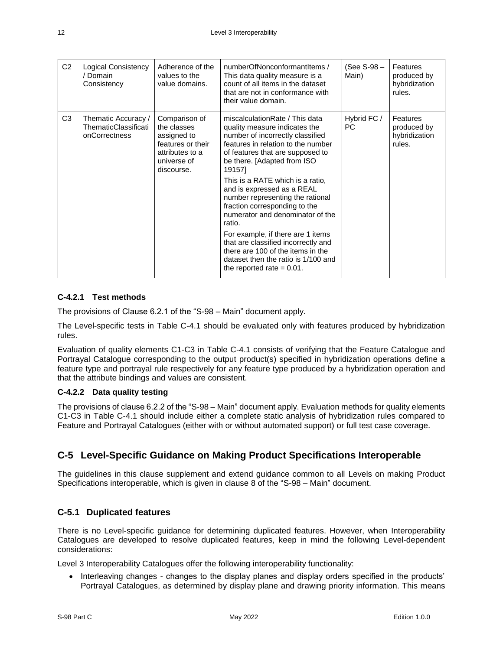| C <sub>2</sub> | <b>Logical Consistency</b><br>/ Domain<br>Consistency        | Adherence of the<br>values to the<br>value domains.                                                              | numberOfNonconformantItems /<br>This data quality measure is a<br>count of all items in the dataset<br>that are not in conformance with<br>their value domain.                                                                                                                                                                                                                                                                                                                                                                                                                                      | (See S-98 -<br>Main) | Features<br>produced by<br>hybridization<br>rules. |
|----------------|--------------------------------------------------------------|------------------------------------------------------------------------------------------------------------------|-----------------------------------------------------------------------------------------------------------------------------------------------------------------------------------------------------------------------------------------------------------------------------------------------------------------------------------------------------------------------------------------------------------------------------------------------------------------------------------------------------------------------------------------------------------------------------------------------------|----------------------|----------------------------------------------------|
| C <sub>3</sub> | Thematic Accuracy /<br>ThematicClassificati<br>onCorrectness | Comparison of<br>the classes<br>assigned to<br>features or their<br>attributes to a<br>universe of<br>discourse. | miscalculationRate / This data<br>quality measure indicates the<br>number of incorrectly classified<br>features in relation to the number<br>of features that are supposed to<br>be there. [Adapted from ISO<br>19157]<br>This is a RATE which is a ratio,<br>and is expressed as a REAL<br>number representing the rational<br>fraction corresponding to the<br>numerator and denominator of the<br>ratio.<br>For example, if there are 1 items<br>that are classified incorrectly and<br>there are 100 of the items in the<br>dataset then the ratio is 1/100 and<br>the reported rate $= 0.01$ . | Hybrid FC /<br>PC.   | Features<br>produced by<br>hybridization<br>rules. |

### <span id="page-17-0"></span>**C-4.2.1 Test methods**

The provisions of Clause 6.2.1 of the "S-98 – Main" document apply.

The Level-specific tests in Table C-4.1 should be evaluated only with features produced by hybridization rules.

Evaluation of quality elements C1-C3 in Table C-4.1 consists of verifying that the Feature Catalogue and Portrayal Catalogue corresponding to the output product(s) specified in hybridization operations define a feature type and portrayal rule respectively for any feature type produced by a hybridization operation and that the attribute bindings and values are consistent.

### <span id="page-17-1"></span>**C-4.2.2 Data quality testing**

The provisions of clause 6.2.2 of the "S-98 – Main" document apply. Evaluation methods for quality elements C1-C3 in Table C-4.1 should include either a complete static analysis of hybridization rules compared to Feature and Portrayal Catalogues (either with or without automated support) or full test case coverage.

# <span id="page-17-2"></span>**C-5 Level-Specific Guidance on Making Product Specifications Interoperable**

The guidelines in this clause supplement and extend guidance common to all Levels on making Product Specifications interoperable, which is given in clause 8 of the "S-98 – Main" document.

# <span id="page-17-3"></span>**C-5.1 Duplicated features**

There is no Level-specific guidance for determining duplicated features. However, when Interoperability Catalogues are developed to resolve duplicated features, keep in mind the following Level-dependent considerations:

Level 3 Interoperability Catalogues offer the following interoperability functionality:

• Interleaving changes - changes to the display planes and display orders specified in the products' Portrayal Catalogues, as determined by display plane and drawing priority information. This means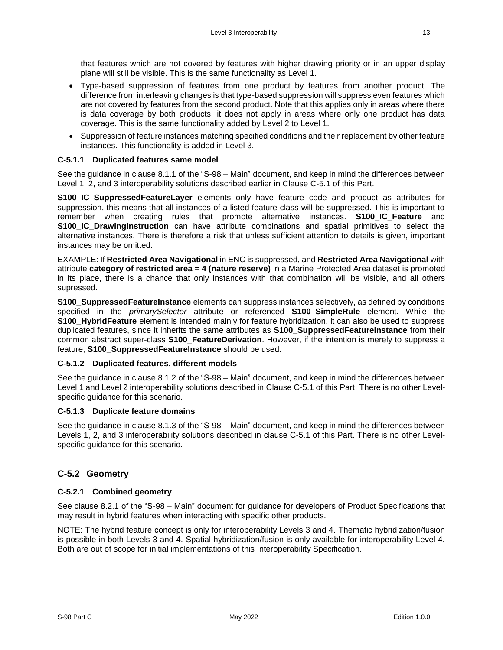that features which are not covered by features with higher drawing priority or in an upper display plane will still be visible. This is the same functionality as Level 1.

- Type-based suppression of features from one product by features from another product. The difference from interleaving changes is that type-based suppression will suppress even features which are not covered by features from the second product. Note that this applies only in areas where there is data coverage by both products; it does not apply in areas where only one product has data coverage. This is the same functionality added by Level 2 to Level 1.
- Suppression of feature instances matching specified conditions and their replacement by other feature instances. This functionality is added in Level 3.

### <span id="page-18-0"></span>**C-5.1.1 Duplicated features same model**

See the guidance in clause 8.1.1 of the "S-98 – Main" document, and keep in mind the differences between Level 1, 2, and 3 interoperability solutions described earlier in Clause C-5.1 of this Part.

**S100\_IC\_SuppressedFeatureLayer** elements only have feature code and product as attributes for suppression, this means that all instances of a listed feature class will be suppressed. This is important to remember when creating rules that promote alternative instances. **S100\_IC\_Feature** and **S100\_IC\_DrawingInstruction** can have attribute combinations and spatial primitives to select the alternative instances. There is therefore a risk that unless sufficient attention to details is given, important instances may be omitted.

EXAMPLE: If **Restricted Area Navigational** in ENC is suppressed, and **Restricted Area Navigational** with attribute **category of restricted area = 4 (nature reserve)** in a Marine Protected Area dataset is promoted in its place, there is a chance that only instances with that combination will be visible, and all others supressed.

**S100\_SuppressedFeatureInstance** elements can suppress instances selectively, as defined by conditions specified in the *primarySelector* attribute or referenced **S100\_SimpleRule** element. While the **S100 HybridFeature** element is intended mainly for feature hybridization, it can also be used to suppress duplicated features, since it inherits the same attributes as **S100\_SuppressedFeatureInstance** from their common abstract super-class **S100\_FeatureDerivation**. However, if the intention is merely to suppress a feature, **S100\_SuppressedFeatureInstance** should be used.

### <span id="page-18-1"></span>**C-5.1.2 Duplicated features, different models**

See the guidance in clause 8.1.2 of the "S-98 – Main" document, and keep in mind the differences between Level 1 and Level 2 interoperability solutions described in Clause C-5.1 of this Part. There is no other Levelspecific guidance for this scenario.

### <span id="page-18-2"></span>**C-5.1.3 Duplicate feature domains**

See the guidance in clause 8.1.3 of the "S-98 – Main" document, and keep in mind the differences between Levels 1, 2, and 3 interoperability solutions described in clause C-5.1 of this Part. There is no other Levelspecific quidance for this scenario.

# <span id="page-18-3"></span>**C-5.2 Geometry**

## <span id="page-18-4"></span>**C-5.2.1 Combined geometry**

See clause 8.2.1 of the "S-98 – Main" document for guidance for developers of Product Specifications that may result in hybrid features when interacting with specific other products.

NOTE: The hybrid feature concept is only for interoperability Levels 3 and 4. Thematic hybridization/fusion is possible in both Levels 3 and 4. Spatial hybridization/fusion is only available for interoperability Level 4. Both are out of scope for initial implementations of this Interoperability Specification.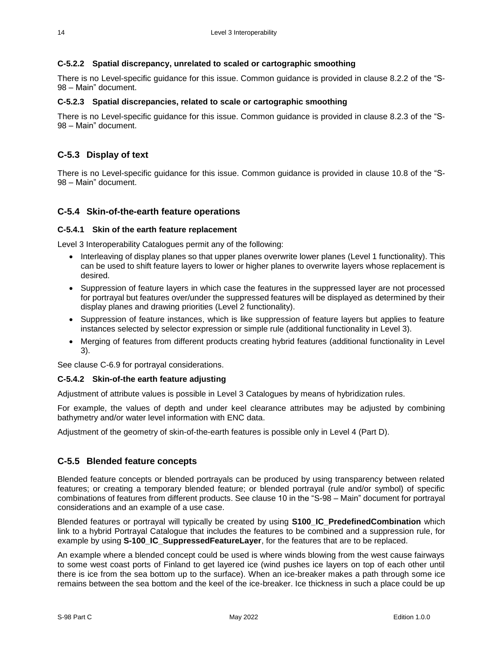### <span id="page-19-0"></span>**C-5.2.2 Spatial discrepancy, unrelated to scaled or cartographic smoothing**

There is no Level-specific guidance for this issue. Common guidance is provided in clause 8.2.2 of the "S-98 – Main" document.

### <span id="page-19-1"></span>**C-5.2.3 Spatial discrepancies, related to scale or cartographic smoothing**

There is no Level-specific guidance for this issue. Common guidance is provided in clause 8.2.3 of the "S-98 – Main" document.

## <span id="page-19-2"></span>**C-5.3 Display of text**

There is no Level-specific guidance for this issue. Common guidance is provided in clause 10.8 of the "S-98 – Main" document.

### <span id="page-19-3"></span>**C-5.4 Skin-of-the-earth feature operations**

#### <span id="page-19-4"></span>**C-5.4.1 Skin of the earth feature replacement**

Level 3 Interoperability Catalogues permit any of the following:

- Interleaving of display planes so that upper planes overwrite lower planes (Level 1 functionality). This can be used to shift feature layers to lower or higher planes to overwrite layers whose replacement is desired.
- Suppression of feature layers in which case the features in the suppressed layer are not processed for portrayal but features over/under the suppressed features will be displayed as determined by their display planes and drawing priorities (Level 2 functionality).
- Suppression of feature instances, which is like suppression of feature layers but applies to feature instances selected by selector expression or simple rule (additional functionality in Level 3).
- Merging of features from different products creating hybrid features (additional functionality in Level 3).

See clause C-6.9 for portrayal considerations.

### <span id="page-19-5"></span>**C-5.4.2 Skin-of-the earth feature adjusting**

Adjustment of attribute values is possible in Level 3 Catalogues by means of hybridization rules.

For example, the values of depth and under keel clearance attributes may be adjusted by combining bathymetry and/or water level information with ENC data.

Adjustment of the geometry of skin-of-the-earth features is possible only in Level 4 (Part D).

## <span id="page-19-6"></span>**C-5.5 Blended feature concepts**

Blended feature concepts or blended portrayals can be produced by using transparency between related features; or creating a temporary blended feature; or blended portrayal (rule and/or symbol) of specific combinations of features from different products. See clause 10 in the "S-98 – Main" document for portrayal considerations and an example of a use case.

Blended features or portrayal will typically be created by using **S100\_IC\_PredefinedCombination** which link to a hybrid Portrayal Catalogue that includes the features to be combined and a suppression rule, for example by using **S-100\_IC\_SuppressedFeatureLayer**, for the features that are to be replaced.

An example where a blended concept could be used is where winds blowing from the west cause fairways to some west coast ports of Finland to get layered ice (wind pushes ice layers on top of each other until there is ice from the sea bottom up to the surface). When an ice-breaker makes a path through some ice remains between the sea bottom and the keel of the ice-breaker. Ice thickness in such a place could be up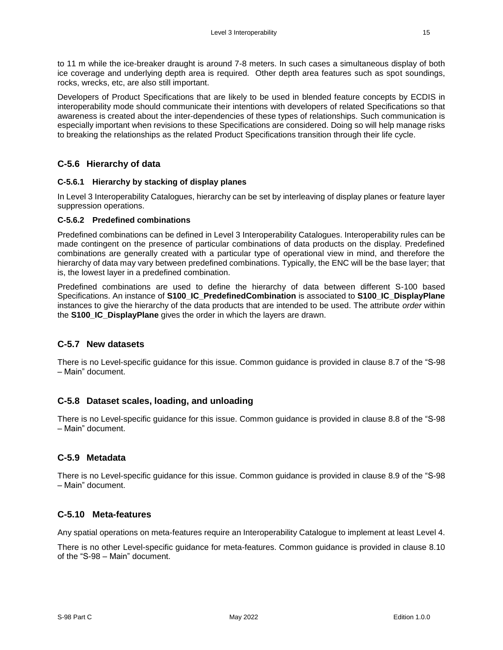to 11 m while the ice-breaker draught is around 7-8 meters. In such cases a simultaneous display of both ice coverage and underlying depth area is required. Other depth area features such as spot soundings, rocks, wrecks, etc, are also still important.

Developers of Product Specifications that are likely to be used in blended feature concepts by ECDIS in interoperability mode should communicate their intentions with developers of related Specifications so that awareness is created about the inter-dependencies of these types of relationships. Such communication is especially important when revisions to these Specifications are considered. Doing so will help manage risks to breaking the relationships as the related Product Specifications transition through their life cycle.

# <span id="page-20-0"></span>**C-5.6 Hierarchy of data**

### <span id="page-20-1"></span>**C-5.6.1 Hierarchy by stacking of display planes**

In Level 3 Interoperability Catalogues, hierarchy can be set by interleaving of display planes or feature layer suppression operations.

### <span id="page-20-2"></span>**C-5.6.2 Predefined combinations**

Predefined combinations can be defined in Level 3 Interoperability Catalogues. Interoperability rules can be made contingent on the presence of particular combinations of data products on the display. Predefined combinations are generally created with a particular type of operational view in mind, and therefore the hierarchy of data may vary between predefined combinations. Typically, the ENC will be the base layer; that is, the lowest layer in a predefined combination.

Predefined combinations are used to define the hierarchy of data between different S-100 based Specifications. An instance of **S100\_IC\_PredefinedCombination** is associated to **S100\_IC\_DisplayPlane** instances to give the hierarchy of the data products that are intended to be used. The attribute *order* within the **S100\_IC\_DisplayPlane** gives the order in which the layers are drawn.

## <span id="page-20-3"></span>**C-5.7 New datasets**

There is no Level-specific guidance for this issue. Common guidance is provided in clause 8.7 of the "S-98 – Main" document.

# <span id="page-20-4"></span>**C-5.8 Dataset scales, loading, and unloading**

There is no Level-specific guidance for this issue. Common guidance is provided in clause 8.8 of the "S-98 – Main" document.

# <span id="page-20-5"></span>**C-5.9 Metadata**

There is no Level-specific guidance for this issue. Common guidance is provided in clause 8.9 of the "S-98 – Main" document.

## <span id="page-20-6"></span>**C-5.10 Meta-features**

Any spatial operations on meta-features require an Interoperability Catalogue to implement at least Level 4.

There is no other Level-specific guidance for meta-features. Common guidance is provided in clause 8.10 of the "S-98 – Main" document.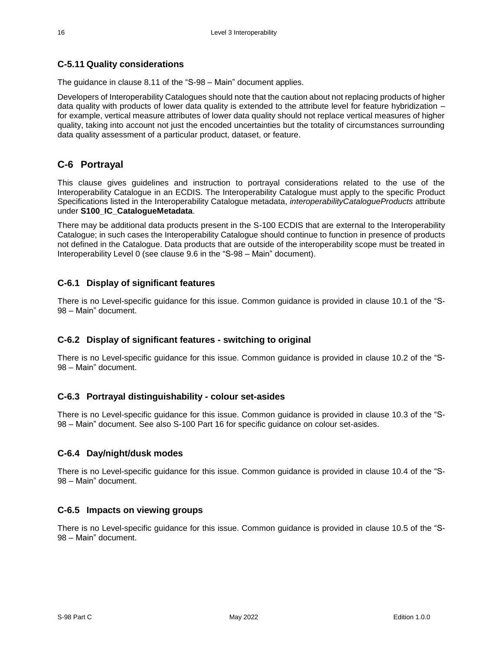## <span id="page-21-0"></span>**C-5.11 Quality considerations**

The guidance in clause 8.11 of the "S-98 – Main" document applies.

Developers of Interoperability Catalogues should note that the caution about not replacing products of higher data quality with products of lower data quality is extended to the attribute level for feature hybridization – for example, vertical measure attributes of lower data quality should not replace vertical measures of higher quality, taking into account not just the encoded uncertainties but the totality of circumstances surrounding data quality assessment of a particular product, dataset, or feature.

# <span id="page-21-1"></span>**C-6 Portrayal**

This clause gives guidelines and instruction to portrayal considerations related to the use of the Interoperability Catalogue in an ECDIS. The Interoperability Catalogue must apply to the specific Product Specifications listed in the Interoperability Catalogue metadata, *interoperabilityCatalogueProducts* attribute under **S100\_IC\_CatalogueMetadata**.

There may be additional data products present in the S-100 ECDIS that are external to the Interoperability Catalogue; in such cases the Interoperability Catalogue should continue to function in presence of products not defined in the Catalogue. Data products that are outside of the interoperability scope must be treated in Interoperability Level 0 (see clause 9.6 in the "S-98 – Main" document).

# <span id="page-21-2"></span>**C-6.1 Display of significant features**

There is no Level-specific guidance for this issue. Common guidance is provided in clause 10.1 of the "S-98 – Main" document.

## <span id="page-21-3"></span>**C-6.2 Display of significant features - switching to original**

There is no Level-specific guidance for this issue. Common guidance is provided in clause 10.2 of the "S-98 – Main" document.

## <span id="page-21-4"></span>**C-6.3 Portrayal distinguishability - colour set-asides**

There is no Level-specific guidance for this issue. Common guidance is provided in clause 10.3 of the "S-98 – Main" document. See also S-100 Part 16 for specific guidance on colour set-asides.

## <span id="page-21-5"></span>**C-6.4 Day/night/dusk modes**

There is no Level-specific guidance for this issue. Common guidance is provided in clause 10.4 of the "S-98 – Main" document.

## <span id="page-21-6"></span>**C-6.5 Impacts on viewing groups**

There is no Level-specific guidance for this issue. Common guidance is provided in clause 10.5 of the "S-98 – Main" document.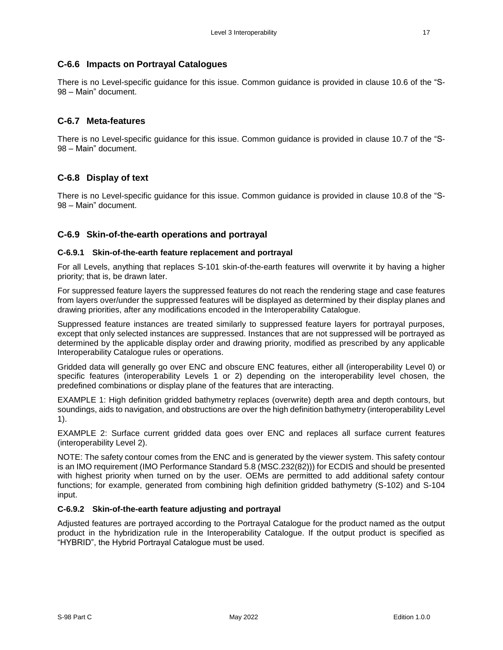# <span id="page-22-0"></span>**C-6.6 Impacts on Portrayal Catalogues**

There is no Level-specific guidance for this issue. Common guidance is provided in clause 10.6 of the "S-98 – Main" document.

# <span id="page-22-1"></span>**C-6.7 Meta-features**

There is no Level-specific guidance for this issue. Common guidance is provided in clause 10.7 of the "S-98 – Main" document.

# <span id="page-22-2"></span>**C-6.8 Display of text**

There is no Level-specific guidance for this issue. Common guidance is provided in clause 10.8 of the "S-98 – Main" document.

## <span id="page-22-3"></span>**C-6.9 Skin-of-the-earth operations and portrayal**

### <span id="page-22-4"></span>**C-6.9.1 Skin-of-the-earth feature replacement and portrayal**

For all Levels, anything that replaces S-101 skin-of-the-earth features will overwrite it by having a higher priority; that is, be drawn later.

For suppressed feature layers the suppressed features do not reach the rendering stage and case features from layers over/under the suppressed features will be displayed as determined by their display planes and drawing priorities, after any modifications encoded in the Interoperability Catalogue.

Suppressed feature instances are treated similarly to suppressed feature layers for portrayal purposes, except that only selected instances are suppressed. Instances that are not suppressed will be portrayed as determined by the applicable display order and drawing priority, modified as prescribed by any applicable Interoperability Catalogue rules or operations.

Gridded data will generally go over ENC and obscure ENC features, either all (interoperability Level 0) or specific features (interoperability Levels 1 or 2) depending on the interoperability level chosen, the predefined combinations or display plane of the features that are interacting.

EXAMPLE 1: High definition gridded bathymetry replaces (overwrite) depth area and depth contours, but soundings, aids to navigation, and obstructions are over the high definition bathymetry (interoperability Level 1).

EXAMPLE 2: Surface current gridded data goes over ENC and replaces all surface current features (interoperability Level 2).

NOTE: The safety contour comes from the ENC and is generated by the viewer system. This safety contour is an IMO requirement (IMO Performance Standard 5.8 (MSC.232(82))) for ECDIS and should be presented with highest priority when turned on by the user. OEMs are permitted to add additional safety contour functions; for example, generated from combining high definition gridded bathymetry (S-102) and S-104 input.

### <span id="page-22-5"></span>**C-6.9.2 Skin-of-the-earth feature adjusting and portrayal**

Adjusted features are portrayed according to the Portrayal Catalogue for the product named as the output product in the hybridization rule in the Interoperability Catalogue. If the output product is specified as "HYBRID", the Hybrid Portrayal Catalogue must be used.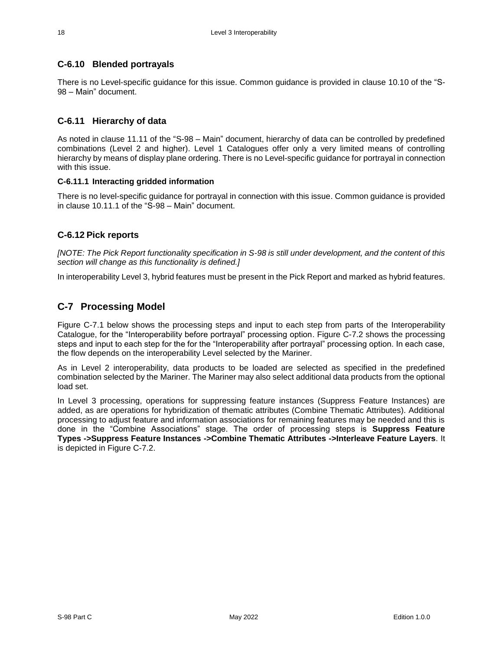# <span id="page-23-0"></span>**C-6.10 Blended portrayals**

There is no Level-specific guidance for this issue. Common guidance is provided in clause 10.10 of the "S-98 – Main" document.

# <span id="page-23-1"></span>**C-6.11 Hierarchy of data**

As noted in clause 11.11 of the "S-98 – Main" document, hierarchy of data can be controlled by predefined combinations (Level 2 and higher). Level 1 Catalogues offer only a very limited means of controlling hierarchy by means of display plane ordering. There is no Level-specific guidance for portrayal in connection with this issue.

### <span id="page-23-2"></span>**C-6.11.1 Interacting gridded information**

There is no level-specific guidance for portrayal in connection with this issue. Common guidance is provided in clause 10.11.1 of the "S-98 – Main" document.

# <span id="page-23-3"></span>**C-6.12 Pick reports**

*[NOTE: The Pick Report functionality specification in S-98 is still under development, and the content of this section will change as this functionality is defined.]*

In interoperability Level 3, hybrid features must be present in the Pick Report and marked as hybrid features.

# <span id="page-23-4"></span>**C-7 Processing Model**

Figure C-7.1 below shows the processing steps and input to each step from parts of the Interoperability Catalogue, for the "Interoperability before portrayal" processing option. Figure C-7.2 shows the processing steps and input to each step for the for the "Interoperability after portrayal" processing option. In each case, the flow depends on the interoperability Level selected by the Mariner.

As in Level 2 interoperability, data products to be loaded are selected as specified in the predefined combination selected by the Mariner. The Mariner may also select additional data products from the optional load set.

In Level 3 processing, operations for suppressing feature instances (Suppress Feature Instances) are added, as are operations for hybridization of thematic attributes (Combine Thematic Attributes). Additional processing to adjust feature and information associations for remaining features may be needed and this is done in the "Combine Associations" stage. The order of processing steps is **Suppress Feature Types ->Suppress Feature Instances ->Combine Thematic Attributes ->Interleave Feature Layers**. It is depicted in Figure C-7.2.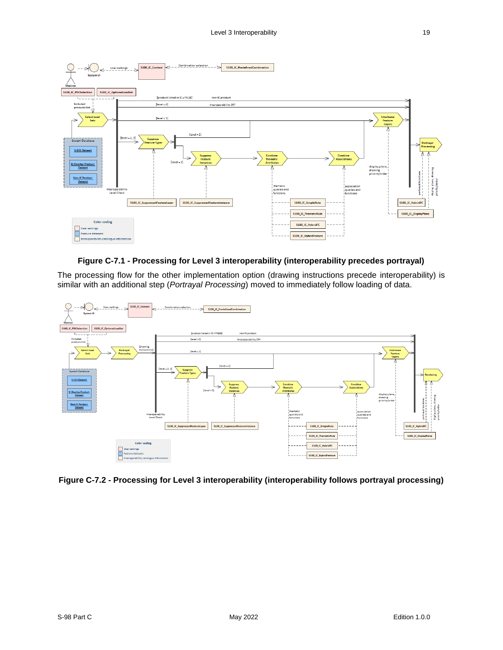



The processing flow for the other implementation option (drawing instructions precede interoperability) is similar with an additional step (*Portrayal Processing*) moved to immediately follow loading of data.



**Figure C-7.2 - Processing for Level 3 interoperability (interoperability follows portrayal processing)**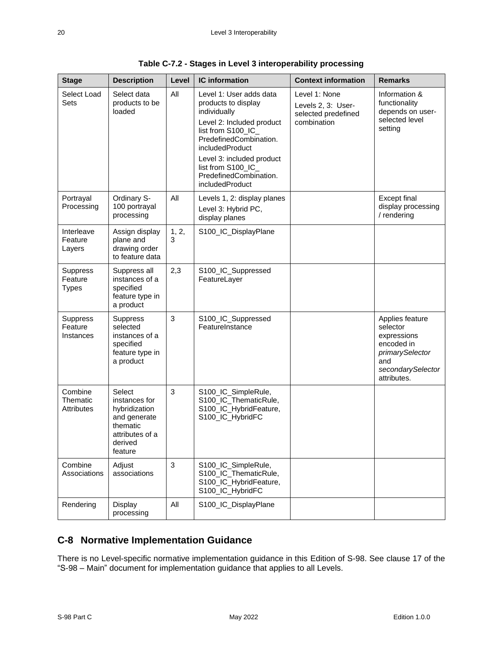| <b>Stage</b>                             | <b>Description</b>                                                                                            | Level          | <b>IC</b> information                                                                                                                                                                                                                                                | <b>Context information</b>                                                | <b>Remarks</b>                                                                                                         |
|------------------------------------------|---------------------------------------------------------------------------------------------------------------|----------------|----------------------------------------------------------------------------------------------------------------------------------------------------------------------------------------------------------------------------------------------------------------------|---------------------------------------------------------------------------|------------------------------------------------------------------------------------------------------------------------|
| Select Load<br><b>Sets</b>               | Select data<br>products to be<br>loaded                                                                       | All            | Level 1: User adds data<br>products to display<br>individually<br>Level 2: Included product<br>list from S100_IC<br>PredefinedCombination.<br><i>includedProduct</i><br>Level 3: included product<br>list from S100_IC_<br>PredefinedCombination.<br>includedProduct | Level 1: None<br>Levels 2, 3: User-<br>selected predefined<br>combination | Information &<br>functionality<br>depends on user-<br>selected level<br>setting                                        |
| Portrayal<br>Processing                  | Ordinary S-<br>100 portrayal<br>processing                                                                    | All            | Levels 1, 2: display planes<br>Level 3: Hybrid PC,<br>display planes                                                                                                                                                                                                 |                                                                           | <b>Except final</b><br>display processing<br>/ rendering                                                               |
| Interleave<br>Feature<br>Layers          | Assign display<br>plane and<br>drawing order<br>to feature data                                               | 1, 2,<br>3     | S100_IC_DisplayPlane                                                                                                                                                                                                                                                 |                                                                           |                                                                                                                        |
| Suppress<br>Feature<br><b>Types</b>      | Suppress all<br>instances of a<br>specified<br>feature type in<br>a product                                   | 2,3            | S100_IC_Suppressed<br>FeatureLayer                                                                                                                                                                                                                                   |                                                                           |                                                                                                                        |
| Suppress<br>Feature<br>Instances         | Suppress<br>selected<br>instances of a<br>specified<br>feature type in<br>a product                           | 3              | S100_IC_Suppressed<br>FeatureInstance                                                                                                                                                                                                                                |                                                                           | Applies feature<br>selector<br>expressions<br>encoded in<br>primarySelector<br>and<br>secondarySelector<br>attributes. |
| Combine<br>Thematic<br><b>Attributes</b> | Select<br>instances for<br>hybridization<br>and generate<br>thematic<br>attributes of a<br>derived<br>feature | 3              | S100_IC_SimpleRule,<br>S100_IC_ThematicRule,<br>S100_IC_HybridFeature,<br>S100 IC HybridFC                                                                                                                                                                           |                                                                           |                                                                                                                        |
| Combine<br>Associations                  | Adjust<br>associations                                                                                        | $\mathfrak{Z}$ | S100_IC_SimpleRule,<br>S100_IC_ThematicRule,<br>S100_IC_HybridFeature,<br>S100_IC_HybridFC                                                                                                                                                                           |                                                                           |                                                                                                                        |
| Rendering                                | Display<br>processing                                                                                         | All            | S100_IC_DisplayPlane                                                                                                                                                                                                                                                 |                                                                           |                                                                                                                        |

**Table C-7.2 - Stages in Level 3 interoperability processing**

# <span id="page-25-0"></span>**C-8 Normative Implementation Guidance**

There is no Level-specific normative implementation guidance in this Edition of S-98. See clause 17 of the "S-98 – Main" document for implementation guidance that applies to all Levels.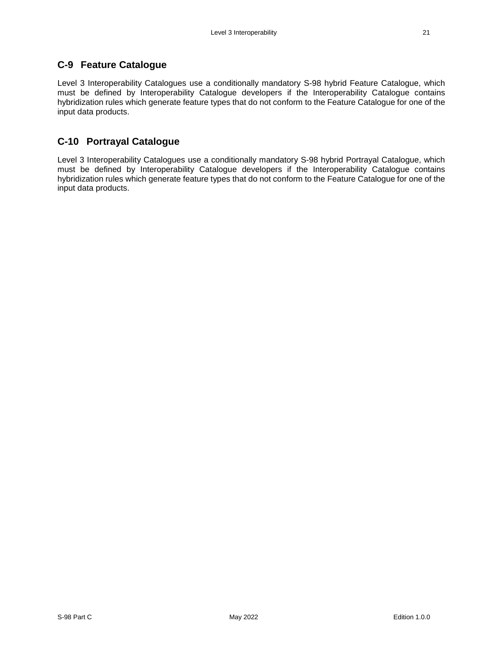# <span id="page-26-0"></span>**C-9 Feature Catalogue**

Level 3 Interoperability Catalogues use a conditionally mandatory S-98 hybrid Feature Catalogue, which must be defined by Interoperability Catalogue developers if the Interoperability Catalogue contains hybridization rules which generate feature types that do not conform to the Feature Catalogue for one of the input data products.

# <span id="page-26-1"></span>**C-10 Portrayal Catalogue**

Level 3 Interoperability Catalogues use a conditionally mandatory S-98 hybrid Portrayal Catalogue, which must be defined by Interoperability Catalogue developers if the Interoperability Catalogue contains hybridization rules which generate feature types that do not conform to the Feature Catalogue for one of the input data products.